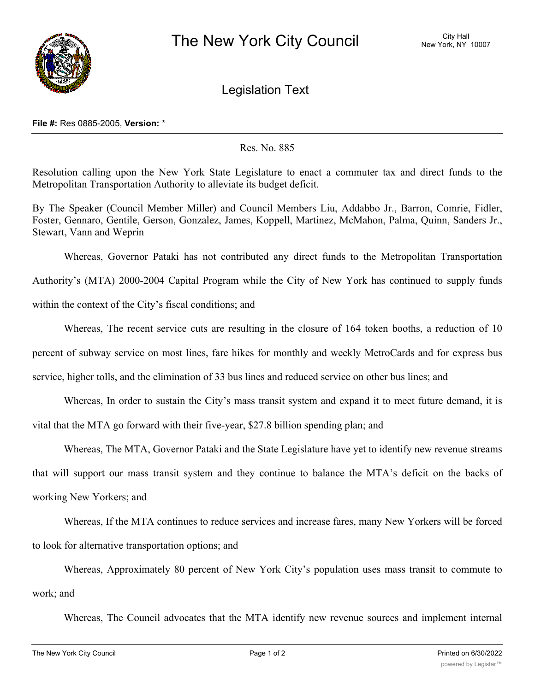

Legislation Text

## **File #:** Res 0885-2005, **Version:** \*

## Res. No. 885

Resolution calling upon the New York State Legislature to enact a commuter tax and direct funds to the Metropolitan Transportation Authority to alleviate its budget deficit.

By The Speaker (Council Member Miller) and Council Members Liu, Addabbo Jr., Barron, Comrie, Fidler, Foster, Gennaro, Gentile, Gerson, Gonzalez, James, Koppell, Martinez, McMahon, Palma, Quinn, Sanders Jr., Stewart, Vann and Weprin

Whereas, Governor Pataki has not contributed any direct funds to the Metropolitan Transportation Authority's (MTA) 2000-2004 Capital Program while the City of New York has continued to supply funds within the context of the City's fiscal conditions; and

Whereas, The recent service cuts are resulting in the closure of 164 token booths, a reduction of 10 percent of subway service on most lines, fare hikes for monthly and weekly MetroCards and for express bus service, higher tolls, and the elimination of 33 bus lines and reduced service on other bus lines; and

Whereas, In order to sustain the City's mass transit system and expand it to meet future demand, it is

vital that the MTA go forward with their five-year, \$27.8 billion spending plan; and

Whereas, The MTA, Governor Pataki and the State Legislature have yet to identify new revenue streams

that will support our mass transit system and they continue to balance the MTA's deficit on the backs of working New Yorkers; and

Whereas, If the MTA continues to reduce services and increase fares, many New Yorkers will be forced to look for alternative transportation options; and

Whereas, Approximately 80 percent of New York City's population uses mass transit to commute to work; and

Whereas, The Council advocates that the MTA identify new revenue sources and implement internal